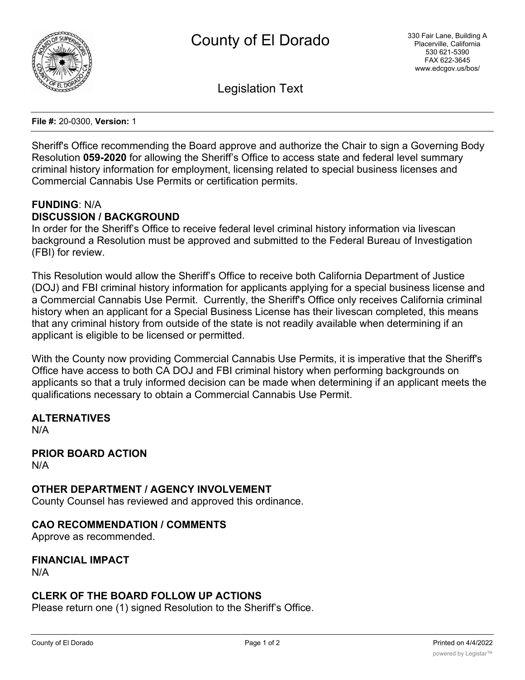

Legislation Text

**File #:** 20-0300, **Version:** 1

Sheriff's Office recommending the Board approve and authorize the Chair to sign a Governing Body Resolution **059-2020** for allowing the Sheriff's Office to access state and federal level summary criminal history information for employment, licensing related to special business licenses and Commercial Cannabis Use Permits or certification permits.

#### **FUNDING**: N/A **DISCUSSION / BACKGROUND**

In order for the Sheriff's Office to receive federal level criminal history information via livescan background a Resolution must be approved and submitted to the Federal Bureau of Investigation (FBI) for review.

This Resolution would allow the Sheriff's Office to receive both California Department of Justice (DOJ) and FBI criminal history information for applicants applying for a special business license and a Commercial Cannabis Use Permit. Currently, the Sheriff's Office only receives California criminal history when an applicant for a Special Business License has their livescan completed, this means that any criminal history from outside of the state is not readily available when determining if an applicant is eligible to be licensed or permitted.

With the County now providing Commercial Cannabis Use Permits, it is imperative that the Sheriff's Office have access to both CA DOJ and FBI criminal history when performing backgrounds on applicants so that a truly informed decision can be made when determining if an applicant meets the qualifications necessary to obtain a Commercial Cannabis Use Permit.

# **ALTERNATIVES**

N/A

**PRIOR BOARD ACTION** N/A

### **OTHER DEPARTMENT / AGENCY INVOLVEMENT**

County Counsel has reviewed and approved this ordinance.

### **CAO RECOMMENDATION / COMMENTS**

Approve as recommended.

**FINANCIAL IMPACT** N/A

### **CLERK OF THE BOARD FOLLOW UP ACTIONS**

Please return one (1) signed Resolution to the Sheriff's Office.